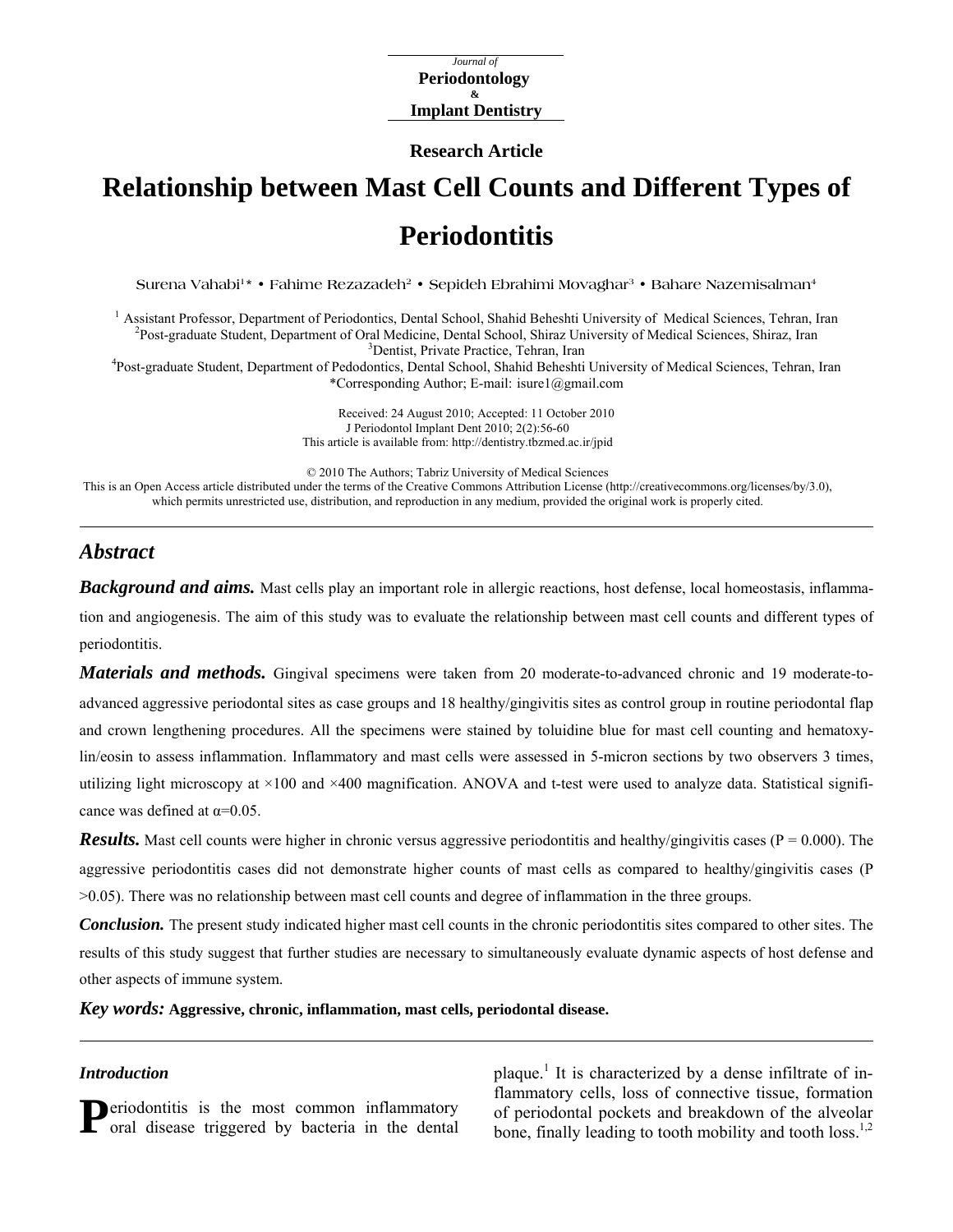*Journal of*  **Periodontology & Implant Dentistry**

**Research Article** 

# **Relationship between Mast Cell Counts and Different Types of Periodontitis**

Surena Vahabi<sup>1</sup>\* • Fahime Rezazadeh<sup>2</sup> • Sepideh Ebrahimi Movaghar<sup>3</sup> • Bahare Nazemisalman<sup>4</sup>

<sup>1</sup> Assistant Professor, Department of Periodontics, Dental School, Shahid Beheshti University of Medical Sciences, Tehran, Iran <sup>2</sup>Post-graduate Student, Department of Oral Medicine, Dental School, Shiraz University of Medical Sciences, Shiraz, Iran <sup>3</sup>Dentist, Private Practice, Tehran, Iran

<sup>3</sup> Dentist, Private Practice, Tehran, Iran<br><sup>4</sup> Post-graduate Student, Department of Pedodontics, Dental School, Shahid Beheshti University of Medical Sciences, Tehran, Iran \*Corresponding Author; E-mail: isure1@gmail.com

> Received: 24 August 2010; Accepted: 11 October 2010 J Periodontol Implant Dent 2010; 2(2):56-60 This article is available from: <http://dentistry.tbzmed.ac.ir/jpid>

© 2010 The Authors; Tabriz University of Medical Sciences

This is an Open Access article distributed under the terms of the Creative Commons Attribution License (<http://creativecommons.org/licenses/by/3.0>), which permits unrestricted use, distribution, and reproduction in any medium, provided the original work is properly cited.

## *Abstract*

**Background and aims.** Mast cells play an important role in allergic reactions, host defense, local homeostasis, inflammation and angiogenesis. The aim of this study was to evaluate the relationship between mast cell counts and different types of periodontitis.

*Materials and methods.* Gingival specimens were taken from 20 moderate-to-advanced chronic and 19 moderate-toadvanced aggressive periodontal sites as case groups and 18 healthy/gingivitis sites as control group in routine periodontal flap and crown lengthening procedures. All the specimens were stained by toluidine blue for mast cell counting and hematoxylin/eosin to assess inflammation. Inflammatory and mast cells were assessed in 5-micron sections by two observers 3 times, utilizing light microscopy at  $\times 100$  and  $\times 400$  magnification. ANOVA and t-test were used to analyze data. Statistical significance was defined at  $\alpha$ =0.05.

**Results.** Mast cell counts were higher in chronic versus aggressive periodontitis and healthy/gingivitis cases ( $P = 0.000$ ). The aggressive periodontitis cases did not demonstrate higher counts of mast cells as compared to healthy/gingivitis cases (P >0.05). There was no relationship between mast cell counts and degree of inflammation in the three groups.

*Conclusion.* The present study indicated higher mast cell counts in the chronic periodontitis sites compared to other sites. The results of this study suggest that further studies are necessary to simultaneously evaluate dynamic aspects of host defense and other aspects of immune system.

*Key words:* **Aggressive, chronic, inflammation, mast cells, periodontal disease.**

#### *Introduction*

eriodontitis is the most common inflammatory

**11** Deriodontitis is the most common inflammatory of periodontal pockets and breakdown of the alveolar bone, finally leading to tooth mobility and tooth loss.<sup>1,2</sup> plaque.<sup>1</sup> It is characterized by a dense infiltrate of inflammatory cells, loss of connective tissue, formation of periodontal pockets and breakdown of the alveolar bone, finally leading to tooth mobility and tooth loss.<sup>1,2</sup>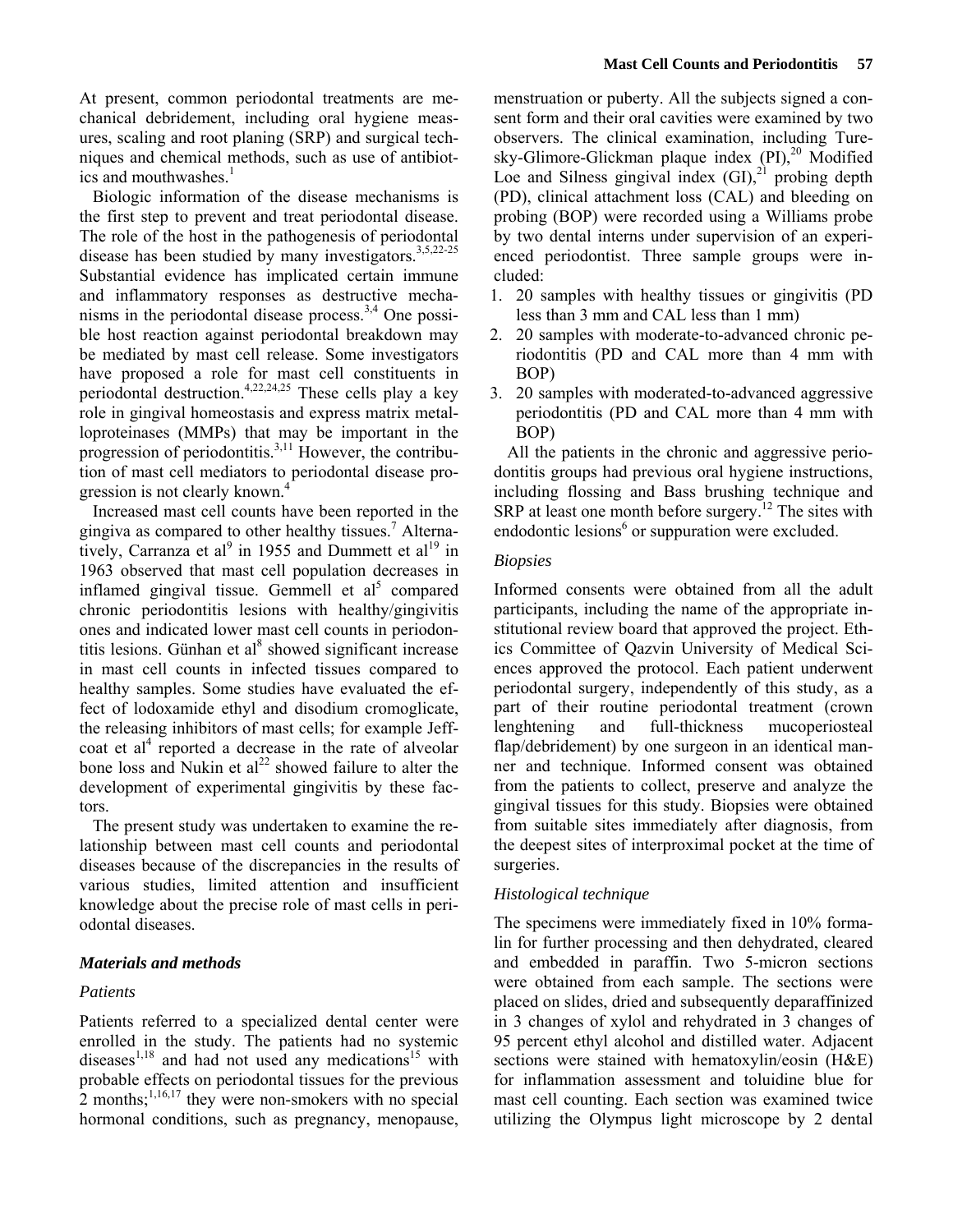At present, common periodontal treatments are mechanical debridement, including oral hygiene measures, scaling and root planing (SRP) and surgical techniques and chemical methods, such as use of antibiotics and mouthwashes.<sup>1</sup>

Biologic information of the disease mechanisms is the first step to prevent and treat periodontal disease. The role of the host in the pathogenesis of periodontal disease has been studied by many investigators.<sup>3,5,22-25</sup> Substantial evidence has implicated certain immune and inflammatory responses as destructive mechanisms in the periodontal disease process. $3,4$  One possible host reaction against periodontal breakdown may be mediated by mast cell release. Some investigators have proposed a role for mast cell constituents in periodontal destruction.<sup>4,22,24,25</sup> These cells play a key role in gingival homeostasis and express matrix metalloproteinases (MMPs) that may be important in the progression of periodontitis. $3,11$  However, the contribution of mast cell mediators to periodontal disease progression is not clearly known.<sup>4</sup>

Increased mast cell counts have been reported in the gingiva as compared to other healthy tissues.<sup>7</sup> Alternatively, Carranza et al<sup>9</sup> in 1955 and Dummett et al<sup>19</sup> in 1963 observed that mast cell population decreases in inflamed gingival tissue. Gemmell et  $al<sup>5</sup>$  compared chronic periodontitis lesions with healthy/gingivitis ones and indicated lower mast cell counts in periodontitis lesions. Günhan et al<sup>8</sup> showed significant increase in mast cell counts in infected tissues compared to healthy samples. Some studies have evaluated the effect of lodoxamide ethyl and disodium cromoglicate, the releasing inhibitors of mast cells; for example Jeffcoat et  $al<sup>4</sup>$  reported a decrease in the rate of alveolar bone loss and Nukin et  $al^{22}$  showed failure to alter the development of experimental gingivitis by these factors.

The present study was undertaken to examine the relationship between mast cell counts and periodontal diseases because of the discrepancies in the results of various studies, limited attention and insufficient knowledge about the precise role of mast cells in periodontal diseases.

## *Materials and methods*

## *Patients*

Patients referred to a specialized dental center were enrolled in the study. The patients had no systemic diseases $^{1,18}$  and had not used any medications<sup>15</sup> with probable effects on periodontal tissues for the previous 2 months; $^{1,16,17}$  they were non-smokers with no special hormonal conditions, such as pregnancy, menopause,

menstruation or puberty. All the subjects signed a consent form and their oral cavities were examined by two observers. The clinical examination, including Turesky-Glimore-Glickman plaque index (PI),<sup>20</sup> Modified Loe and Silness gingival index  $(GI)$ ,<sup>21</sup> probing depth (PD), clinical attachment loss (CAL) and bleeding on probing (BOP) were recorded using a Williams probe by two dental interns under supervision of an experienced periodontist. Three sample groups were included:

- 1. 20 samples with healthy tissues or gingivitis (PD less than 3 mm and CAL less than 1 mm)
- 2. 20 samples with moderate-to-advanced chronic periodontitis (PD and CAL more than 4 mm with BOP)
- 3. 20 samples with moderated-to-advanced aggressive periodontitis (PD and CAL more than 4 mm with BOP)

All the patients in the chronic and aggressive periodontitis groups had previous oral hygiene instructions, including flossing and Bass brushing technique and SRP at least one month before surgery.<sup>12</sup> The sites with endodontic lesions<sup>6</sup> or suppuration were excluded.

## *Biopsies*

Informed consents were obtained from all the adult participants, including the name of the appropriate institutional review board that approved the project. Ethics Committee of Qazvin University of Medical Sciences approved the protocol. Each patient underwent periodontal surgery, independently of this study, as a part of their routine periodontal treatment (crown lenghtening and full-thickness mucoperiosteal flap/debridement) by one surgeon in an identical manner and technique. Informed consent was obtained from the patients to collect, preserve and analyze the gingival tissues for this study. Biopsies were obtained from suitable sites immediately after diagnosis, from the deepest sites of interproximal pocket at the time of surgeries.

## *Histological technique*

The specimens were immediately fixed in 10% formalin for further processing and then dehydrated, cleared and embedded in paraffin. Two 5-micron sections were obtained from each sample. The sections were placed on slides, dried and subsequently deparaffinized in 3 changes of xylol and rehydrated in 3 changes of 95 percent ethyl alcohol and distilled water. Adjacent sections were stained with hematoxylin/eosin (H&E) for inflammation assessment and toluidine blue for mast cell counting. Each section was examined twice utilizing the Olympus light microscope by 2 dental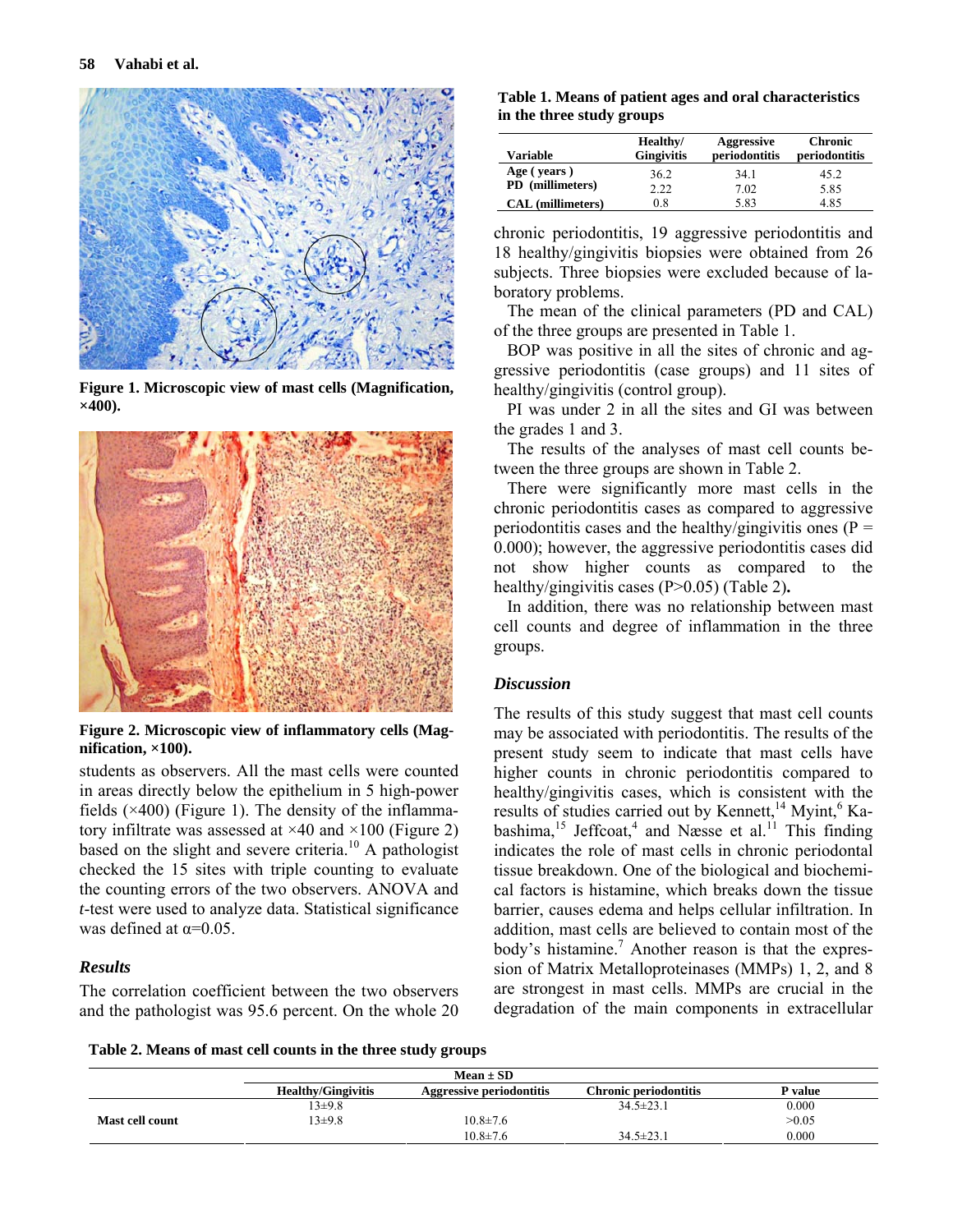

**Figure 1. Microscopic view of mast cells (Magnification, ×400).** 



**Figure 2. Microscopic view of inflammatory cells (Magnification, ×100).** 

students as observers. All the mast cells were counted in areas directly below the epithelium in 5 high-power fields  $(\times 400)$  (Figure 1). The density of the inflammatory infiltrate was assessed at  $\times$ 40 and  $\times$ 100 (Figure 2) based on the slight and severe criteria.<sup>10</sup> A pathologist checked the 15 sites with triple counting to evaluate the counting errors of the two observers. ANOVA and *t*-test were used to analyze data. Statistical significance was defined at  $\alpha$ =0.05.

## *Results*

The correlation coefficient between the two observers and the pathologist was 95.6 percent. On the whole 20

**Table 1. Means of patient ages and oral characteristics in the three study groups** 

| Variable                        | Healthy/<br><b>Gingivitis</b> | <b>Aggressive</b><br>periodontitis | <b>Chronic</b><br>periodontitis |
|---------------------------------|-------------------------------|------------------------------------|---------------------------------|
| Age (years)<br>PD (millimeters) | 36.2                          | 34.1                               | 45.2                            |
|                                 | 2.22                          | 7.02                               | 5.85                            |
| CAL (millimeters)               | 0.8                           | 5.83                               | 4.85                            |

chronic periodontitis, 19 aggressive periodontitis and 18 healthy/gingivitis biopsies were obtained from 26 subjects. Three biopsies were excluded because of laboratory problems.

The mean of the clinical parameters (PD and CAL) of the three groups are presented in Table 1.

BOP was positive in all the sites of chronic and aggressive periodontitis (case groups) and 11 sites of healthy/gingivitis (control group).

PI was under 2 in all the sites and GI was between the grades 1 and 3.

The results of the analyses of mast cell counts between the three groups are shown in Table 2.

There were significantly more mast cells in the chronic periodontitis cases as compared to aggressive periodontitis cases and the healthy/gingivitis ones ( $P =$ 0.000); however, the aggressive periodontitis cases did not show higher counts as compared to the healthy/gingivitis cases (P>0.05) (Table 2)**.**

In addition, there was no relationship between mast cell counts and degree of inflammation in the three groups.

### *Discussion*

The results of this study suggest that mast cell counts may be associated with periodontitis. The results of the present study seem to indicate that mast cells have higher counts in chronic periodontitis compared to healthy/gingivitis cases, which is consistent with the results of studies carried out by Kennett,<sup>14</sup> Myint,<sup>6</sup> Kabashima,<sup>15</sup> Jeffcoat,<sup>4</sup> and Næsse et al.<sup>11</sup> This finding indicates the role of mast cells in chronic periodontal tissue breakdown. One of the biological and biochemical factors is histamine, which breaks down the tissue barrier, causes edema and helps cellular infiltration. In addition, mast cells are believed to contain most of the body's histamine.<sup>7</sup> Another reason is that the expression of Matrix Metalloproteinases (MMPs) 1, 2, and 8 are strongest in mast cells. MMPs are crucial in the degradation of the main components in extracellular

**Table 2. Means of mast cell counts in the three study groups** 

| Mean $\pm$ SD   |                           |                                 |                       |         |
|-----------------|---------------------------|---------------------------------|-----------------------|---------|
|                 | <b>Healthy/Gingivitis</b> | <b>Aggressive periodontitis</b> | Chronic periodontitis | P value |
|                 | $13+9.8$                  |                                 | $34.5 \pm 23.1$       | 0.000   |
| Mast cell count | $13 \pm 9.8$              | $10.8 \pm 7.6$                  |                       | >0.05   |
|                 |                           | $10.8 \pm 7.6$                  | $34.5 \pm 23.1$       | 0.000   |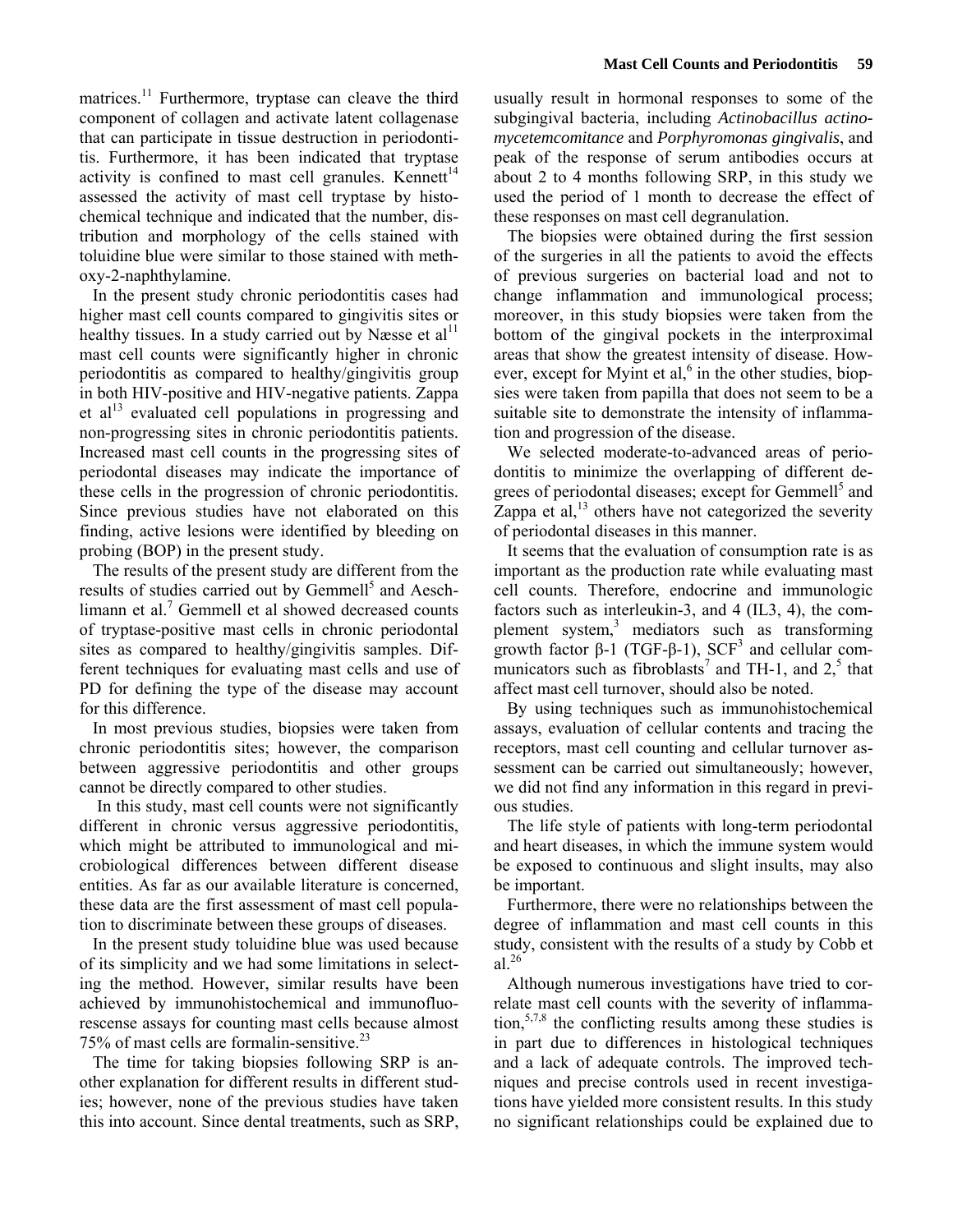matrices.<sup>11</sup> Furthermore, tryptase can cleave the third component of collagen and activate latent collagenase that can participate in tissue destruction in periodontitis. Furthermore, it has been indicated that tryptase activity is confined to mast cell granules. Kennett<sup>14</sup> assessed the activity of mast cell tryptase by histochemical technique and indicated that the number, distribution and morphology of the cells stained with toluidine blue were similar to those stained with methoxy-2-naphthylamine.

In the present study chronic periodontitis cases had higher mast cell counts compared to gingivitis sites or healthy tissues. In a study carried out by Næsse et al<sup>11</sup> mast cell counts were significantly higher in chronic periodontitis as compared to healthy/gingivitis group in both HIV-positive and HIV-negative patients. Zappa et  $al<sup>13</sup>$  evaluated cell populations in progressing and non-progressing sites in chronic periodontitis patients. Increased mast cell counts in the progressing sites of periodontal diseases may indicate the importance of these cells in the progression of chronic periodontitis. Since previous studies have not elaborated on this finding, active lesions were identified by bleeding on probing (BOP) in the present study.

The results of the present study are different from the results of studies carried out by Gemmell<sup>5</sup> and Aeschlimann et al. $7$  Gemmell et al showed decreased counts of tryptase-positive mast cells in chronic periodontal sites as compared to healthy/gingivitis samples. Different techniques for evaluating mast cells and use of PD for defining the type of the disease may account for this difference.

In most previous studies, biopsies were taken from chronic periodontitis sites; however, the comparison between aggressive periodontitis and other groups cannot be directly compared to other studies.

 In this study, mast cell counts were not significantly different in chronic versus aggressive periodontitis, which might be attributed to immunological and microbiological differences between different disease entities. As far as our available literature is concerned, these data are the first assessment of mast cell population to discriminate between these groups of diseases.

In the present study toluidine blue was used because of its simplicity and we had some limitations in selecting the method. However, similar results have been achieved by immunohistochemical and immunofluorescense assays for counting mast cells because almost 75% of mast cells are formalin-sensitive.<sup>23</sup>

The time for taking biopsies following SRP is another explanation for different results in different studies; however, none of the previous studies have taken this into account. Since dental treatments, such as SRP,

usually result in hormonal responses to some of the subgingival bacteria, including *Actinobacillus actinomycetemcomitance* and *Porphyromonas gingivalis*, and peak of the response of serum antibodies occurs at about 2 to 4 months following SRP, in this study we used the period of 1 month to decrease the effect of these responses on mast cell degranulation.

The biopsies were obtained during the first session of the surgeries in all the patients to avoid the effects of previous surgeries on bacterial load and not to change inflammation and immunological process; moreover, in this study biopsies were taken from the bottom of the gingival pockets in the interproximal areas that show the greatest intensity of disease. However, except for Myint et al, $<sup>6</sup>$  in the other studies, biop-</sup> sies were taken from papilla that does not seem to be a suitable site to demonstrate the intensity of inflammation and progression of the disease.

We selected moderate-to-advanced areas of periodontitis to minimize the overlapping of different degrees of periodontal diseases; except for Gemmell<sup>5</sup> and Zappa et al, $^{13}$  others have not categorized the severity of periodontal diseases in this manner.

It seems that the evaluation of consumption rate is as important as the production rate while evaluating mast cell counts. Therefore, endocrine and immunologic factors such as interleukin-3, and 4 (IL3, 4), the complement system,<sup>3</sup> mediators such as transforming growth factor  $\beta$ -1 (TGF- $\beta$ -1), SCF<sup>3</sup> and cellular communicators such as fibroblasts<sup>7</sup> and TH-1, and  $2<sup>5</sup>$  that affect mast cell turnover, should also be noted.

By using techniques such as immunohistochemical assays, evaluation of cellular contents and tracing the receptors, mast cell counting and cellular turnover assessment can be carried out simultaneously; however, we did not find any information in this regard in previous studies.

The life style of patients with long-term periodontal and heart diseases, in which the immune system would be exposed to continuous and slight insults, may also be important.

Furthermore, there were no relationships between the degree of inflammation and mast cell counts in this study, consistent with the results of a study by Cobb et al<sup>26</sup>

Although numerous investigations have tried to correlate mast cell counts with the severity of inflammation,  $57,8$  the conflicting results among these studies is in part due to differences in histological techniques and a lack of adequate controls. The improved techniques and precise controls used in recent investigations have yielded more consistent results. In this study no significant relationships could be explained due to